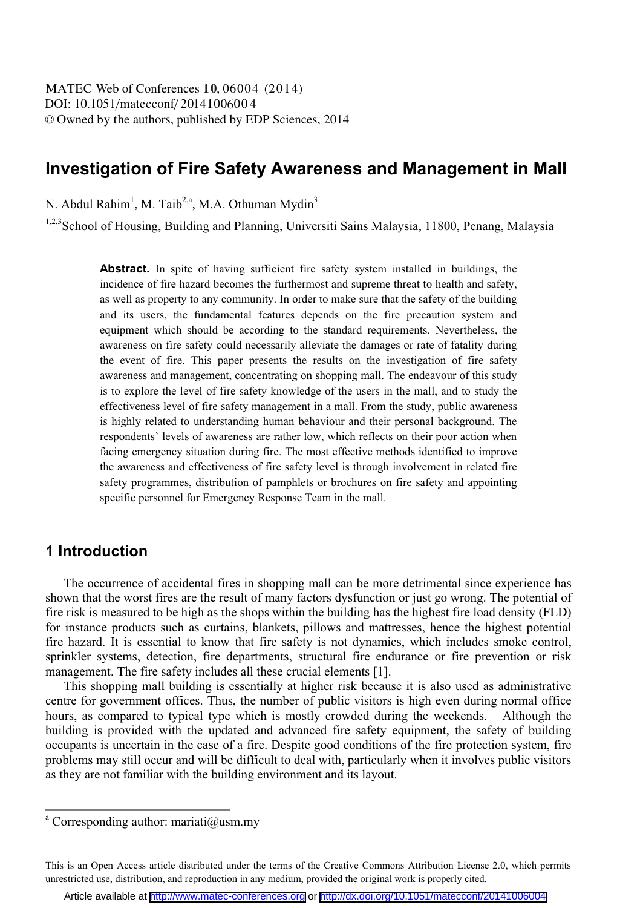# **Investigation of Fire Safety Awareness and Management in Mall**

N. Abdul Rahim<sup>1</sup>, M. Taib<sup>2,a</sup>, M.A. Othuman Mydin<sup>3</sup>

1,2,3 School of Housing, Building and Planning, Universiti Sains Malaysia, 11800, Penang, Malaysia

**Abstract.** In spite of having sufficient fire safety system installed in buildings, the incidence of fire hazard becomes the furthermost and supreme threat to health and safety, as well as property to any community. In order to make sure that the safety of the building and its users, the fundamental features depends on the fire precaution system and equipment which should be according to the standard requirements. Nevertheless, the awareness on fire safety could necessarily alleviate the damages or rate of fatality during the event of fire. This paper presents the results on the investigation of fire safety awareness and management, concentrating on shopping mall. The endeavour of this study is to explore the level of fire safety knowledge of the users in the mall, and to study the effectiveness level of fire safety management in a mall. From the study, public awareness is highly related to understanding human behaviour and their personal background. The respondents' levels of awareness are rather low, which reflects on their poor action when facing emergency situation during fire. The most effective methods identified to improve the awareness and effectiveness of fire safety level is through involvement in related fire safety programmes, distribution of pamphlets or brochures on fire safety and appointing specific personnel for Emergency Response Team in the mall.

### **1 Introduction**

The occurrence of accidental fires in shopping mall can be more detrimental since experience has shown that the worst fires are the result of many factors dysfunction or just go wrong. The potential of fire risk is measured to be high as the shops within the building has the highest fire load density (FLD) for instance products such as curtains, blankets, pillows and mattresses, hence the highest potential fire hazard. It is essential to know that fire safety is not dynamics, which includes smoke control, sprinkler systems, detection, fire departments, structural fire endurance or fire prevention or risk management. The fire safety includes all these crucial elements [1].

This shopping mall building is essentially at higher risk because it is also used as administrative centre for government offices. Thus, the number of public visitors is high even during normal office hours, as compared to typical type which is mostly crowded during the weekends. Although the building is provided with the updated and advanced fire safety equipment, the safety of building occupants is uncertain in the case of a fire. Despite good conditions of the fire protection system, fire problems may still occur and will be difficult to deal with, particularly when it involves public visitors as they are not familiar with the building environment and its layout.

a Corresponding author: mariati@usm.my

This is an Open Access article distributed under the terms of the Creative Commons Attribution License 2.0, which permits unrestricted use, distribution, and reproduction in any medium, provided the original work is properly cited.

Article available at <http://www.matec-conferences.org> or <http://dx.doi.org/10.1051/matecconf/20141006004>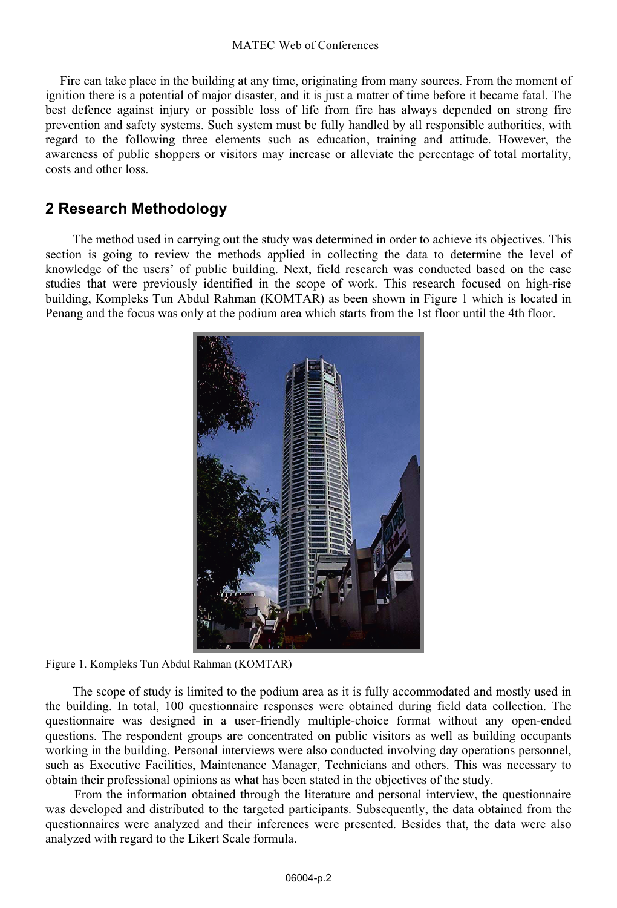#### MATEC Web of Conferences

Fire can take place in the building at any time, originating from many sources. From the moment of ignition there is a potential of major disaster, and it is just a matter of time before it became fatal. The best defence against injury or possible loss of life from fire has always depended on strong fire prevention and safety systems. Such system must be fully handled by all responsible authorities, with regard to the following three elements such as education, training and attitude. However, the awareness of public shoppers or visitors may increase or alleviate the percentage of total mortality, costs and other loss.

### **2 Research Methodology**

The method used in carrying out the study was determined in order to achieve its objectives. This section is going to review the methods applied in collecting the data to determine the level of knowledge of the users' of public building. Next, field research was conducted based on the case studies that were previously identified in the scope of work. This research focused on high-rise building, Kompleks Tun Abdul Rahman (KOMTAR) as been shown in Figure 1 which is located in Penang and the focus was only at the podium area which starts from the 1st floor until the 4th floor.



Figure 1. Kompleks Tun Abdul Rahman (KOMTAR)

The scope of study is limited to the podium area as it is fully accommodated and mostly used in the building. In total, 100 questionnaire responses were obtained during field data collection. The questionnaire was designed in a user-friendly multiple-choice format without any open-ended questions. The respondent groups are concentrated on public visitors as well as building occupants working in the building. Personal interviews were also conducted involving day operations personnel, such as Executive Facilities, Maintenance Manager, Technicians and others. This was necessary to obtain their professional opinions as what has been stated in the objectives of the study.

From the information obtained through the literature and personal interview, the questionnaire was developed and distributed to the targeted participants. Subsequently, the data obtained from the questionnaires were analyzed and their inferences were presented. Besides that, the data were also analyzed with regard to the Likert Scale formula.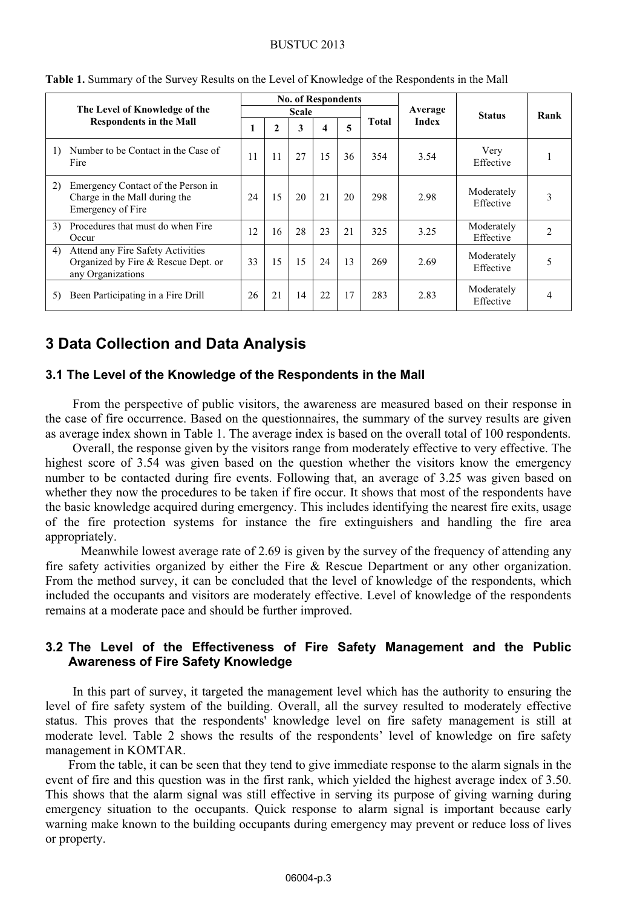#### BUSTUC 2013

|                               |                                                                                               |       |              |     | <b>No. of Respondents</b> |    |       |              |                         |                |
|-------------------------------|-----------------------------------------------------------------------------------------------|-------|--------------|-----|---------------------------|----|-------|--------------|-------------------------|----------------|
| The Level of Knowledge of the |                                                                                               | Scale |              |     |                           |    |       | Average      | <b>Status</b>           | Rank           |
|                               | <b>Respondents in the Mall</b>                                                                |       | $\mathbf{2}$ | 3   |                           | 5  | Total | <b>Index</b> |                         |                |
| 1)                            | Number to be Contact in the Case of<br>Fire                                                   | 11    | 11           | 27  | 15                        | 36 | 354   | 3.54         | Very<br>Effective       |                |
| (2)                           | Emergency Contact of the Person in<br>Charge in the Mall during the<br>Emergency of Fire      | 24    | 15           | 20  | 21                        | 20 | 298   | 2.98         | Moderately<br>Effective | 3              |
| 3)                            | Procedures that must do when Fire<br>Occur                                                    | 12    | 16           | 28  | 23                        | 21 | 325   | 3.25         | Moderately<br>Effective | $\mathfrak{D}$ |
| 4)                            | Attend any Fire Safety Activities<br>Organized by Fire & Rescue Dept. or<br>any Organizations | 33    | 15           | 1.5 | 24                        | 13 | 269   | 2.69         | Moderately<br>Effective |                |
| 5)                            | Been Participating in a Fire Drill                                                            | 26    | 21           | 14  | 22                        | 17 | 283   | 2.83         | Moderately<br>Effective | 4              |

**Table 1.** Summary of the Survey Results on the Level of Knowledge of the Respondents in the Mall

## **3 Data Collection and Data Analysis**

#### **3.1 The Level of the Knowledge of the Respondents in the Mall**

From the perspective of public visitors, the awareness are measured based on their response in the case of fire occurrence. Based on the questionnaires, the summary of the survey results are given as average index shown in Table 1. The average index is based on the overall total of 100 respondents.

Overall, the response given by the visitors range from moderately effective to very effective. The highest score of 3.54 was given based on the question whether the visitors know the emergency number to be contacted during fire events. Following that, an average of 3.25 was given based on whether they now the procedures to be taken if fire occur. It shows that most of the respondents have the basic knowledge acquired during emergency. This includes identifying the nearest fire exits, usage of the fire protection systems for instance the fire extinguishers and handling the fire area appropriately.

 Meanwhile lowest average rate of 2.69 is given by the survey of the frequency of attending any fire safety activities organized by either the Fire  $\&$  Rescue Department or any other organization. From the method survey, it can be concluded that the level of knowledge of the respondents, which included the occupants and visitors are moderately effective. Level of knowledge of the respondents remains at a moderate pace and should be further improved.

### **3.2 The Level of the Effectiveness of Fire Safety Management and the Public Awareness of Fire Safety Knowledge**

 In this part of survey, it targeted the management level which has the authority to ensuring the level of fire safety system of the building. Overall, all the survey resulted to moderately effective status. This proves that the respondents' knowledge level on fire safety management is still at moderate level. Table 2 shows the results of the respondents' level of knowledge on fire safety management in KOMTAR.

From the table, it can be seen that they tend to give immediate response to the alarm signals in the event of fire and this question was in the first rank, which yielded the highest average index of 3.50. This shows that the alarm signal was still effective in serving its purpose of giving warning during emergency situation to the occupants. Quick response to alarm signal is important because early warning make known to the building occupants during emergency may prevent or reduce loss of lives or property.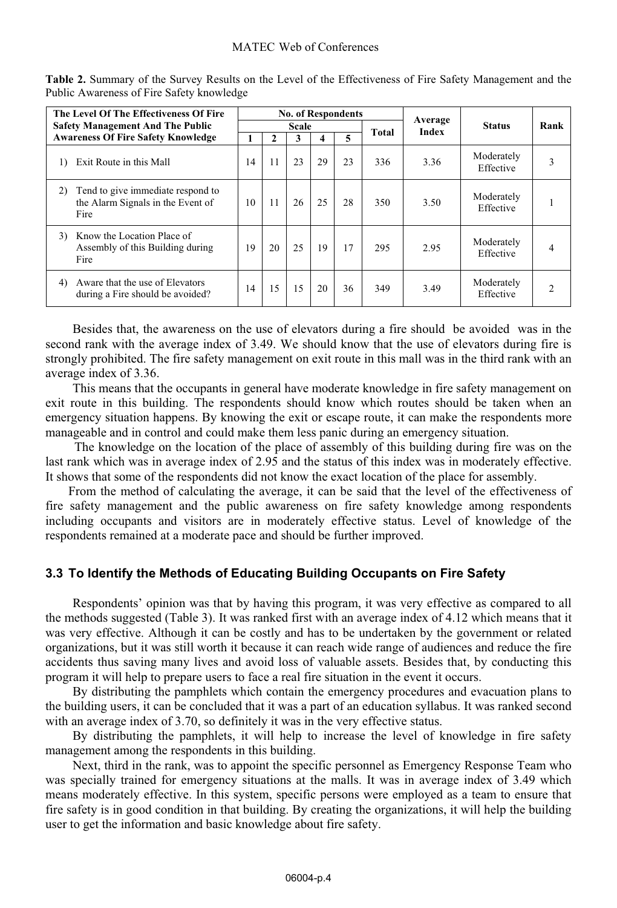| The Level Of The Effectiveness Of Fire<br><b>Safety Management And The Public</b><br><b>Awareness Of Fire Safety Knowledge</b> |                                                                                |       |    |    |    | <b>No. of Respondents</b> |       | Average |                         |      |
|--------------------------------------------------------------------------------------------------------------------------------|--------------------------------------------------------------------------------|-------|----|----|----|---------------------------|-------|---------|-------------------------|------|
|                                                                                                                                |                                                                                | Scale |    |    |    |                           | Total | Index   | <b>Status</b>           | Rank |
|                                                                                                                                |                                                                                |       | 2  | 3  | 4  | 5                         |       |         |                         |      |
| $\left( \right)$                                                                                                               | Exit Route in this Mall                                                        | 14    | 11 | 23 | 29 | 23                        | 336   | 3.36    | Moderately<br>Effective |      |
| 2)                                                                                                                             | Tend to give immediate respond to<br>the Alarm Signals in the Event of<br>Fire | 10    | 11 | 26 | 25 | 28                        | 350   | 3.50    | Moderately<br>Effective |      |
| 3)                                                                                                                             | Know the Location Place of<br>Assembly of this Building during<br>Fire         | 19    | 20 | 25 | 19 | 17                        | 295   | 2.95    | Moderately<br>Effective | 4    |
| 4)                                                                                                                             | Aware that the use of Elevators<br>during a Fire should be avoided?            | 14    | 15 | 15 | 20 | 36                        | 349   | 3.49    | Moderately<br>Effective |      |

Table 2. Summary of the Survey Results on the Level of the Effectiveness of Fire Safety Management and the Public Awareness of Fire Safety knowledge

Besides that, the awareness on the use of elevators during a fire should be avoided was in the second rank with the average index of 3.49. We should know that the use of elevators during fire is strongly prohibited. The fire safety management on exit route in this mall was in the third rank with an average index of 3.36.

This means that the occupants in general have moderate knowledge in fire safety management on exit route in this building. The respondents should know which routes should be taken when an emergency situation happens. By knowing the exit or escape route, it can make the respondents more manageable and in control and could make them less panic during an emergency situation.

 The knowledge on the location of the place of assembly of this building during fire was on the last rank which was in average index of 2.95 and the status of this index was in moderately effective. It shows that some of the respondents did not know the exact location of the place for assembly.

From the method of calculating the average, it can be said that the level of the effectiveness of fire safety management and the public awareness on fire safety knowledge among respondents including occupants and visitors are in moderately effective status. Level of knowledge of the respondents remained at a moderate pace and should be further improved.

### **3.3 To Identify the Methods of Educating Building Occupants on Fire Safety**

Respondents' opinion was that by having this program, it was very effective as compared to all the methods suggested (Table 3). It was ranked first with an average index of 4.12 which means that it was very effective. Although it can be costly and has to be undertaken by the government or related organizations, but it was still worth it because it can reach wide range of audiences and reduce the fire accidents thus saving many lives and avoid loss of valuable assets. Besides that, by conducting this program it will help to prepare users to face a real fire situation in the event it occurs.

By distributing the pamphlets which contain the emergency procedures and evacuation plans to the building users, it can be concluded that it was a part of an education syllabus. It was ranked second with an average index of 3.70, so definitely it was in the very effective status.

By distributing the pamphlets, it will help to increase the level of knowledge in fire safety management among the respondents in this building.

Next, third in the rank, was to appoint the specific personnel as Emergency Response Team who was specially trained for emergency situations at the malls. It was in average index of 3.49 which means moderately effective. In this system, specific persons were employed as a team to ensure that fire safety is in good condition in that building. By creating the organizations, it will help the building user to get the information and basic knowledge about fire safety.